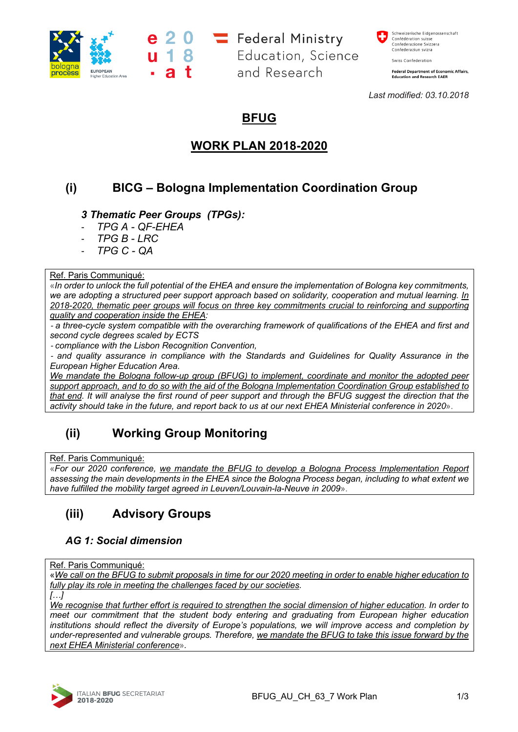

e 2 0 = Federal Ministry<br>u 1 8 Education, Scienc Education, Science and Research

Schweizerische Eidgenossenschaft<br>Confédération suisse<br>Confederazione Svizzera Confederaziun svizra

Swiss Confederation

Federal Department of Economic Affairs,<br>Education and Research EAER

*Last modified: 03.10.2018*

## **BFUG**

## **WORK PLAN 2018-2020**

# **(i) BICG – Bologna Implementation Coordination Group**

## *3 Thematic Peer Groups (TPGs):*

- *TPG A - QF-EHEA*
- *TPG B - LRC*
- *TPG C - QA*

#### Ref. Paris Communiqué:

«*In order to unlock the full potential of the EHEA and ensure the implementation of Bologna key commitments, we are adopting a structured peer support approach based on solidarity, cooperation and mutual learning. In 2018-2020, thematic peer groups will focus on three key commitments crucial to reinforcing and supporting quality and cooperation inside the EHEA:*

- *a three-cycle system compatible with the overarching framework of qualifications of the EHEA and first and second cycle degrees scaled by ECTS*

- *compliance with the Lisbon Recognition Convention,*

- *and quality assurance in compliance with the Standards and Guidelines for Quality Assurance in the European Higher Education Area.*

*We mandate the Bologna follow-up group (BFUG) to implement, coordinate and monitor the adopted peer support approach, and to do so with the aid of the Bologna Implementation Coordination Group established to that end.* It will analyse the first round of peer support and through the BFUG suggest the direction that the *activity should take in the future, and report back to us at our next EHEA Ministerial conference in 2020*».

## **(ii) Working Group Monitoring**

#### Ref. Paris Communiqué:

«*For our 2020 conference, we mandate the BFUG to develop a Bologna Process Implementation Report assessing the main developments in the EHEA since the Bologna Process began, including to what extent we have fulfilled the mobility target agreed in Leuven/Louvain-la-Neuve in 2009*».

# **(iii) Advisory Groups**

## *AG 1: Social dimension*

#### Ref. Paris Communiqué:

«*We call on the BFUG to submit proposals in time for our 2020 meeting in order to enable higher education to fully play its role in meeting the challenges faced by our societies.*

*[…]*

*We recognise that further effort is required to strengthen the social dimension of higher education. In order to meet our commitment that the student body entering and graduating from European higher education institutions should reflect the diversity of Europe's populations, we will improve access and completion by under-represented and vulnerable groups. Therefore, we mandate the BFUG to take this issue forward by the next EHEA Ministerial conference*»*.*

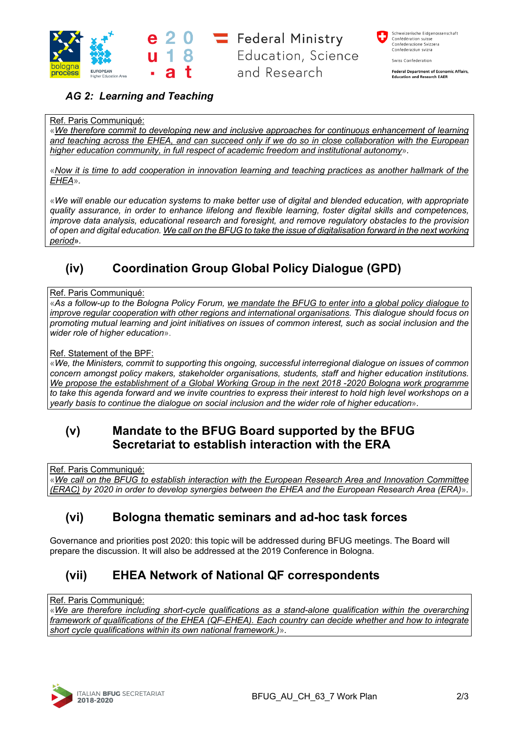

 $20 =$ Federal Ministry Education, Science and Research

Schweizerische Eidgenossenschaft<br>Confédération suisse<br>Confederazione Svizzera Confederaziun svizra

Swiss Confederation

**Federal Department of Economic Affairs, Education and Research EAFR** 

## *AG 2: Learning and Teaching*

## Ref. Paris Communiqué:

«*We therefore commit to developing new and inclusive approaches for continuous enhancement of learning and teaching across the EHEA, and can succeed only if we do so in close collaboration with the European higher education community, in full respect of academic freedom and institutional autonomy*»*.*

«*Now it is time to add cooperation in innovation learning and teaching practices as another hallmark of the EHEA*»*.*

«*We will enable our education systems to make better use of digital and blended education, with appropriate quality assurance, in order to enhance lifelong and flexible learning, foster digital skills and competences, improve data analysis, educational research and foresight, and remove regulatory obstacles to the provision of open and digital education. We call on the BFUG to take the issue of digitalisation forward in the next working period*»*.*

# **(iv) Coordination Group Global Policy Dialogue (GPD)**

#### Ref. Paris Communiqué:

«*As a follow-up to the Bologna Policy Forum, we mandate the BFUG to enter into a global policy dialogue to improve regular cooperation with other regions and international organisations. This dialogue should focus on promoting mutual learning and joint initiatives on issues of common interest, such as social inclusion and the wider role of higher education*».

#### Ref. Statement of the BPF:

«*We, the Ministers, commit to supporting this ongoing, successful interregional dialogue on issues of common concern amongst policy makers, stakeholder organisations, students, staff and higher education institutions. We propose the establishment of a Global Working Group in the next 2018 -2020 Bologna work programme* to take this agenda forward and we invite countries to express their interest to hold high level workshops on a *yearly basis to continue the dialogue on social inclusion and the wider role of higher education*»*.*

## **(v) Mandate to the BFUG Board supported by the BFUG Secretariat to establish interaction with the ERA**

Ref. Paris Communiqué:

«*We call on the BFUG to establish interaction with the European Research Area and Innovation Committee (ERAC) by 2020 in order to develop synergies between the EHEA and the European Research Area (ERA)*»*.*

## **(vi) Bologna thematic seminars and ad-hoc task forces**

Governance and priorities post 2020: this topic will be addressed during BFUG meetings. The Board will prepare the discussion. It will also be addressed at the 2019 Conference in Bologna.

# **(vii) EHEA Network of National QF correspondents**

Ref. Paris Communiqué:

«*We are therefore including short-cycle qualifications as a stand-alone qualification within the overarching framework of qualifications of the EHEA (QF-EHEA). Each country can decide whether and how to integrate short cycle qualifications within its own national framework.)*»*.*